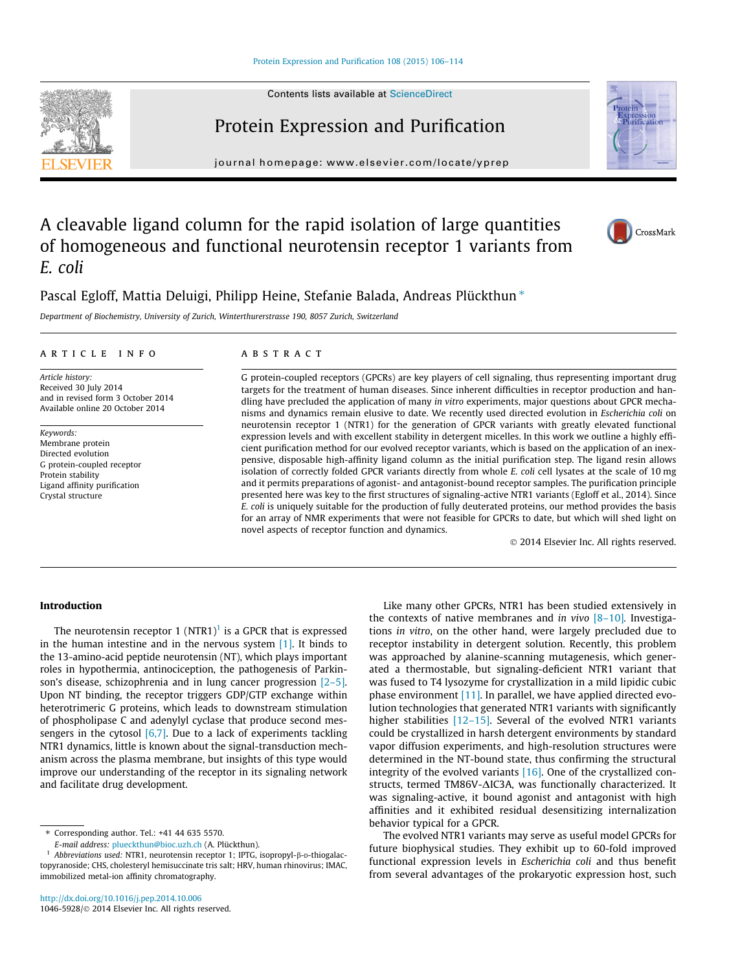## [Protein Expression and Purification 108 \(2015\) 106–114](http://dx.doi.org/10.1016/j.pep.2014.10.006)

Contents lists available at [ScienceDirect](http://www.sciencedirect.com/science/journal/10465928)

# Protein Expression and Purification

journal homepage: [www.elsevier.com/locate/yprep](http://www.elsevier.com/locate/yprep)

# A cleavable ligand column for the rapid isolation of large quantities of homogeneous and functional neurotensin receptor 1 variants from E. coli

Pascal Egloff, Mattia Deluigi, Philipp Heine, Stefanie Balada, Andreas Plückthun\*

Department of Biochemistry, University of Zurich, Winterthurerstrasse 190, 8057 Zurich, Switzerland

## article info

Article history: Received 30 July 2014 and in revised form 3 October 2014 Available online 20 October 2014

Keywords: Membrane protein Directed evolution G protein-coupled receptor Protein stability Ligand affinity purification Crystal structure

#### **ABSTRACT**

G protein-coupled receptors (GPCRs) are key players of cell signaling, thus representing important drug targets for the treatment of human diseases. Since inherent difficulties in receptor production and handling have precluded the application of many in vitro experiments, major questions about GPCR mechanisms and dynamics remain elusive to date. We recently used directed evolution in Escherichia coli on neurotensin receptor 1 (NTR1) for the generation of GPCR variants with greatly elevated functional expression levels and with excellent stability in detergent micelles. In this work we outline a highly efficient purification method for our evolved receptor variants, which is based on the application of an inexpensive, disposable high-affinity ligand column as the initial purification step. The ligand resin allows isolation of correctly folded GPCR variants directly from whole E. coli cell lysates at the scale of 10 mg and it permits preparations of agonist- and antagonist-bound receptor samples. The purification principle presented here was key to the first structures of signaling-active NTR1 variants (Egloff et al., 2014). Since E. coli is uniquely suitable for the production of fully deuterated proteins, our method provides the basis for an array of NMR experiments that were not feasible for GPCRs to date, but which will shed light on novel aspects of receptor function and dynamics.

- 2014 Elsevier Inc. All rights reserved.

## Introduction

The neurotensin receptor 1 (NTR1)<sup>1</sup> is a GPCR that is expressed in the human intestine and in the nervous system [\[1\].](#page-7-0) It binds to the 13-amino-acid peptide neurotensin (NT), which plays important roles in hypothermia, antinociception, the pathogenesis of Parkinson's disease, schizophrenia and in lung cancer progression [\[2–5\].](#page-7-0) Upon NT binding, the receptor triggers GDP/GTP exchange within heterotrimeric G proteins, which leads to downstream stimulation of phospholipase C and adenylyl cyclase that produce second messengers in the cytosol  $[6,7]$ . Due to a lack of experiments tackling NTR1 dynamics, little is known about the signal-transduction mechanism across the plasma membrane, but insights of this type would improve our understanding of the receptor in its signaling network and facilitate drug development.

⇑ Corresponding author. Tel.: +41 44 635 5570.

E-mail address: [plueckthun@bioc.uzh.ch](mailto:plueckthun@bioc.uzh.ch) (A. Plückthun).

the contexts of native membranes and in vivo  $[8-10]$ . Investigations in vitro, on the other hand, were largely precluded due to receptor instability in detergent solution. Recently, this problem was approached by alanine-scanning mutagenesis, which generated a thermostable, but signaling-deficient NTR1 variant that was fused to T4 lysozyme for crystallization in a mild lipidic cubic phase environment [\[11\]](#page-7-0). In parallel, we have applied directed evolution technologies that generated NTR1 variants with significantly higher stabilities [12-15]. Several of the evolved NTR1 variants could be crystallized in harsh detergent environments by standard vapor diffusion experiments, and high-resolution structures were determined in the NT-bound state, thus confirming the structural integrity of the evolved variants [\[16\]](#page-7-0). One of the crystallized constructs, termed TM86V- $\Delta$ IC3A, was functionally characterized. It was signaling-active, it bound agonist and antagonist with high affinities and it exhibited residual desensitizing internalization behavior typical for a GPCR.

Like many other GPCRs, NTR1 has been studied extensively in

The evolved NTR1 variants may serve as useful model GPCRs for future biophysical studies. They exhibit up to 60-fold improved functional expression levels in Escherichia coli and thus benefit from several advantages of the prokaryotic expression host, such







Abbreviations used: NTR1, neurotensin receptor 1; IPTG, isopropyl-β-D-thiogalactopyranoside; CHS, cholesteryl hemisuccinate tris salt; HRV, human rhinovirus; IMAC, immobilized metal-ion affinity chromatography.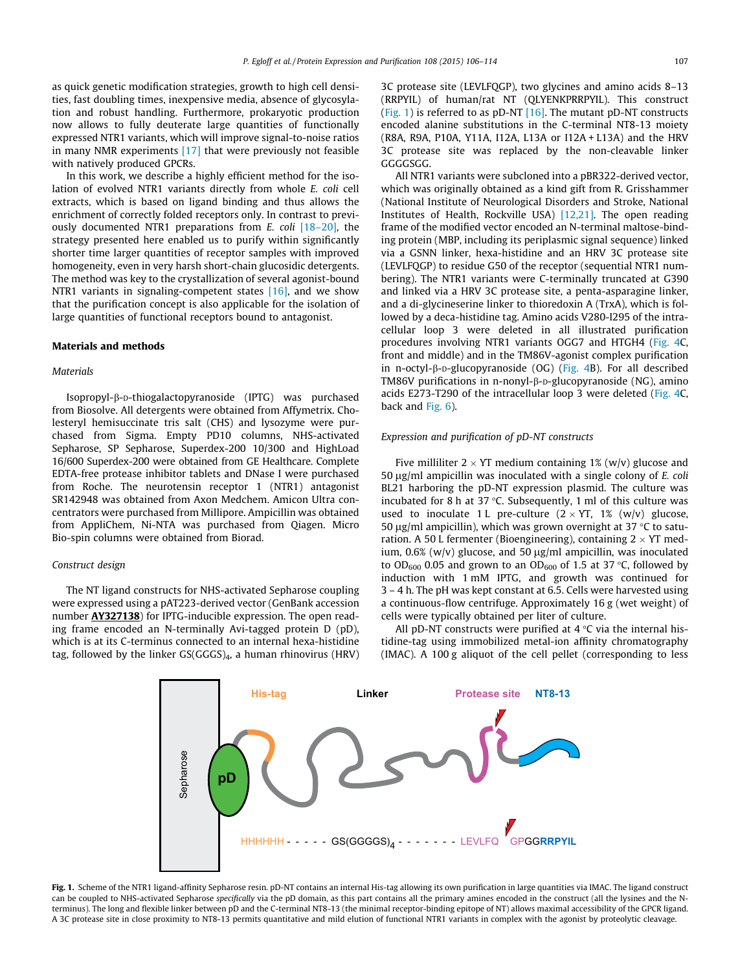<span id="page-1-0"></span>as quick genetic modification strategies, growth to high cell densities, fast doubling times, inexpensive media, absence of glycosylation and robust handling. Furthermore, prokaryotic production now allows to fully deuterate large quantities of functionally expressed NTR1 variants, which will improve signal-to-noise ratios in many NMR experiments [\[17\]](#page-7-0) that were previously not feasible with natively produced GPCRs.

In this work, we describe a highly efficient method for the isolation of evolved NTR1 variants directly from whole E. coli cell extracts, which is based on ligand binding and thus allows the enrichment of correctly folded receptors only. In contrast to previously documented NTR1 preparations from E. coli [\[18–20\]](#page-7-0), the strategy presented here enabled us to purify within significantly shorter time larger quantities of receptor samples with improved homogeneity, even in very harsh short-chain glucosidic detergents. The method was key to the crystallization of several agonist-bound NTR1 variants in signaling-competent states [\[16\],](#page-7-0) and we show that the purification concept is also applicable for the isolation of large quantities of functional receptors bound to antagonist.

## Materials and methods

## Materials

Isopropyl-b-D-thiogalactopyranoside (IPTG) was purchased from Biosolve. All detergents were obtained from Affymetrix. Cholesteryl hemisuccinate tris salt (CHS) and lysozyme were purchased from Sigma. Empty PD10 columns, NHS-activated Sepharose, SP Sepharose, Superdex-200 10/300 and HighLoad 16/600 Superdex-200 were obtained from GE Healthcare. Complete EDTA-free protease inhibitor tablets and DNase I were purchased from Roche. The neurotensin receptor 1 (NTR1) antagonist SR142948 was obtained from Axon Medchem. Amicon Ultra concentrators were purchased from Millipore. Ampicillin was obtained from AppliChem, Ni-NTA was purchased from Qiagen. Micro Bio-spin columns were obtained from Biorad.

## Construct design

The NT ligand constructs for NHS-activated Sepharose coupling were expressed using a pAT223-derived vector (GenBank accession number **AY327138**) for IPTG-inducible expression. The open reading frame encoded an N-terminally Avi-tagged protein D (pD), which is at its C-terminus connected to an internal hexa-histidine tag, followed by the linker GS(GGGS)4, a human rhinovirus (HRV) 3C protease site (LEVLFQGP), two glycines and amino acids 8–13 (RRPYIL) of human/rat NT (QLYENKPRRPYIL). This construct (Fig. 1) is referred to as  $pD-NT$  [\[16\]](#page-7-0). The mutant  $pD-NT$  constructs encoded alanine substitutions in the C-terminal NT8-13 moiety (R8A, R9A, P10A, Y11A, I12A, L13A or I12A + L13A) and the HRV 3C protease site was replaced by the non-cleavable linker GGGGSGG.

All NTR1 variants were subcloned into a pBR322-derived vector, which was originally obtained as a kind gift from R. Grisshammer (National Institute of Neurological Disorders and Stroke, National Institutes of Health, Rockville USA) [\[12,21\]](#page-7-0). The open reading frame of the modified vector encoded an N-terminal maltose-binding protein (MBP, including its periplasmic signal sequence) linked via a GSNN linker, hexa-histidine and an HRV 3C protease site (LEVLFQGP) to residue G50 of the receptor (sequential NTR1 numbering). The NTR1 variants were C-terminally truncated at G390 and linked via a HRV 3C protease site, a penta-asparagine linker, and a di-glycineserine linker to thioredoxin A (TrxA), which is followed by a deca-histidine tag. Amino acids V280-I295 of the intracellular loop 3 were deleted in all illustrated purification procedures involving NTR1 variants OGG7 and HTGH4 ([Fig. 4C](#page-4-0), front and middle) and in the TM86V-agonist complex purification in n-octyl- $\beta$ -D-glucopyranoside (OG) [\(Fig. 4](#page-4-0)B). For all described TM86V purifications in n-nonyl- $\beta$ -D-glucopyranoside (NG), amino acids E273-T290 of the intracellular loop 3 were deleted [\(Fig. 4C](#page-4-0), back and [Fig. 6\)](#page-6-0).

## Expression and purification of pD-NT constructs

Five milliliter 2  $\times$  YT medium containing 1% (w/v) glucose and  $50 \mu g/ml$  ampicillin was inoculated with a single colony of E. coli BL21 harboring the pD-NT expression plasmid. The culture was incubated for 8 h at 37  $\degree$ C. Subsequently, 1 ml of this culture was used to inoculate 1 L pre-culture  $(2 \times YT, 1\%$  (w/v) glucose, 50  $\mu$ g/ml ampicillin), which was grown overnight at 37 °C to saturation. A 50 L fermenter (Bioengineering), containing 2  $\times$  YT medium,  $0.6\%$  (w/v) glucose, and  $50 \mu g/ml$  ampicillin, was inoculated to OD<sub>600</sub> 0.05 and grown to an OD<sub>600</sub> of 1.5 at 37 °C, followed by induction with 1 mM IPTG, and growth was continued for 3 – 4 h. The pH was kept constant at 6.5. Cells were harvested using a continuous-flow centrifuge. Approximately 16 g (wet weight) of cells were typically obtained per liter of culture.

All pD-NT constructs were purified at  $4^{\circ}$ C via the internal histidine-tag using immobilized metal-ion affinity chromatography (IMAC). A 100 g aliquot of the cell pellet (corresponding to less



Fig. 1. Scheme of the NTR1 ligand-affinity Sepharose resin, pD-NT contains an internal His-tag allowing its own purification in large quantities via IMAC. The ligand construct can be coupled to NHS-activated Sepharose specifically via the pD domain, as this part contains all the primary amines encoded in the construct (all the lysines and the Nterminus). The long and flexible linker between pD and the C-terminal NT8-13 (the minimal receptor-binding epitope of NT) allows maximal accessibility of the GPCR ligand. A 3C protease site in close proximity to NT8-13 permits quantitative and mild elution of functional NTR1 variants in complex with the agonist by proteolytic cleavage.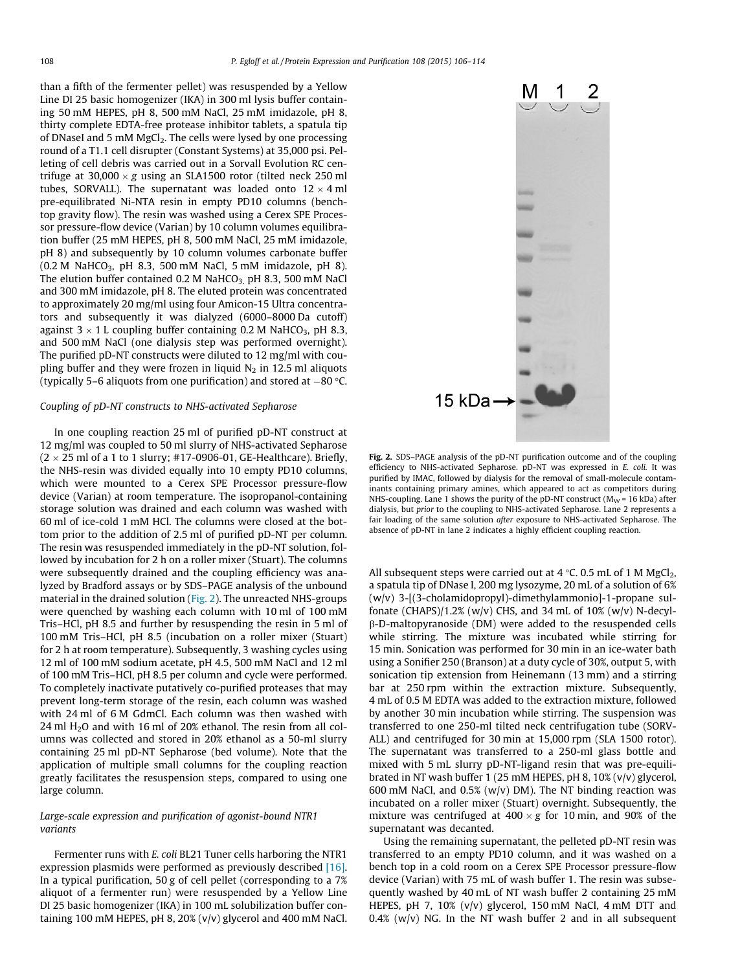<span id="page-2-0"></span>than a fifth of the fermenter pellet) was resuspended by a Yellow Line DI 25 basic homogenizer (IKA) in 300 ml lysis buffer containing 50 mM HEPES, pH 8, 500 mM NaCl, 25 mM imidazole, pH 8, thirty complete EDTA-free protease inhibitor tablets, a spatula tip of DNaseI and 5 mM MgCl<sub>2</sub>. The cells were lysed by one processing round of a T1.1 cell disrupter (Constant Systems) at 35,000 psi. Pelleting of cell debris was carried out in a Sorvall Evolution RC centrifuge at 30,000  $\times$  g using an SLA1500 rotor (tilted neck 250 ml tubes, SORVALL). The supernatant was loaded onto 12  $\times$  4 ml pre-equilibrated Ni-NTA resin in empty PD10 columns (benchtop gravity flow). The resin was washed using a Cerex SPE Processor pressure-flow device (Varian) by 10 column volumes equilibration buffer (25 mM HEPES, pH 8, 500 mM NaCl, 25 mM imidazole, pH 8) and subsequently by 10 column volumes carbonate buffer  $(0.2 \text{ M } \text{NaHCO}_3, \text{ pH } 8.3, 500 \text{ mM } \text{NaCl}, 5 \text{ mM } \text{imidazole}, \text{ pH } 8).$ The elution buffer contained 0.2 M NaHCO<sub>3, P</sub>H 8.3, 500 mM NaCl and 300 mM imidazole, pH 8. The eluted protein was concentrated to approximately 20 mg/ml using four Amicon-15 Ultra concentrators and subsequently it was dialyzed (6000–8000 Da cutoff) against 3  $\times$  1 L coupling buffer containing 0.2 M NaHCO<sub>3</sub>, pH 8.3, and 500 mM NaCl (one dialysis step was performed overnight). The purified pD-NT constructs were diluted to 12 mg/ml with coupling buffer and they were frozen in liquid  $N_2$  in 12.5 ml aliquots (typically 5–6 aliquots from one purification) and stored at  $-80$  °C.

#### Coupling of pD-NT constructs to NHS-activated Sepharose

In one coupling reaction 25 ml of purified pD-NT construct at 12 mg/ml was coupled to 50 ml slurry of NHS-activated Sepharose (2  $\times$  25 ml of a 1 to 1 slurry; #17-0906-01, GE-Healthcare). Briefly, the NHS-resin was divided equally into 10 empty PD10 columns, which were mounted to a Cerex SPE Processor pressure-flow device (Varian) at room temperature. The isopropanol-containing storage solution was drained and each column was washed with 60 ml of ice-cold 1 mM HCl. The columns were closed at the bottom prior to the addition of 2.5 ml of purified pD-NT per column. The resin was resuspended immediately in the pD-NT solution, followed by incubation for 2 h on a roller mixer (Stuart). The columns were subsequently drained and the coupling efficiency was analyzed by Bradford assays or by SDS–PAGE analysis of the unbound material in the drained solution (Fig. 2). The unreacted NHS-groups were quenched by washing each column with 10 ml of 100 mM Tris–HCl, pH 8.5 and further by resuspending the resin in 5 ml of 100 mM Tris–HCl, pH 8.5 (incubation on a roller mixer (Stuart) for 2 h at room temperature). Subsequently, 3 washing cycles using 12 ml of 100 mM sodium acetate, pH 4.5, 500 mM NaCl and 12 ml of 100 mM Tris–HCl, pH 8.5 per column and cycle were performed. To completely inactivate putatively co-purified proteases that may prevent long-term storage of the resin, each column was washed with 24 ml of 6 M GdmCl. Each column was then washed with 24 ml H2O and with 16 ml of 20% ethanol. The resin from all columns was collected and stored in 20% ethanol as a 50-ml slurry containing 25 ml pD-NT Sepharose (bed volume). Note that the application of multiple small columns for the coupling reaction greatly facilitates the resuspension steps, compared to using one large column.

## Large-scale expression and purification of agonist-bound NTR1 variants

Fermenter runs with E. coli BL21 Tuner cells harboring the NTR1 expression plasmids were performed as previously described [\[16\].](#page-7-0) In a typical purification, 50 g of cell pellet (corresponding to a 7% aliquot of a fermenter run) were resuspended by a Yellow Line DI 25 basic homogenizer (IKA) in 100 mL solubilization buffer containing 100 mM HEPES, pH 8, 20% (v/v) glycerol and 400 mM NaCl.



Fig. 2. SDS-PAGE analysis of the pD-NT purification outcome and of the coupling efficiency to NHS-activated Sepharose. pD-NT was expressed in E. coli. It was purified by IMAC, followed by dialysis for the removal of small-molecule contaminants containing primary amines, which appeared to act as competitors during NHS-coupling. Lane 1 shows the purity of the pD-NT construct ( $M_W$  = 16 kDa) after dialysis, but prior to the coupling to NHS-activated Sepharose. Lane 2 represents a fair loading of the same solution after exposure to NHS-activated Sepharose. The absence of pD-NT in lane 2 indicates a highly efficient coupling reaction.

All subsequent steps were carried out at 4  $\degree$ C. 0.5 mL of 1 M MgCl<sub>2</sub>, a spatula tip of DNase I, 200 mg lysozyme, 20 mL of a solution of 6% (w/v) 3-[(3-cholamidopropyl)-dimethylammonio]-1-propane sulfonate (CHAPS)/1.2% (w/v) CHS, and 34 mL of 10% (w/v) N-decylb-D-maltopyranoside (DM) were added to the resuspended cells while stirring. The mixture was incubated while stirring for 15 min. Sonication was performed for 30 min in an ice-water bath using a Sonifier 250 (Branson) at a duty cycle of 30%, output 5, with sonication tip extension from Heinemann (13 mm) and a stirring bar at 250 rpm within the extraction mixture. Subsequently, 4 mL of 0.5 M EDTA was added to the extraction mixture, followed by another 30 min incubation while stirring. The suspension was transferred to one 250-ml tilted neck centrifugation tube (SORV-ALL) and centrifuged for 30 min at 15,000 rpm (SLA 1500 rotor). The supernatant was transferred to a 250-ml glass bottle and mixed with 5 mL slurry pD-NT-ligand resin that was pre-equilibrated in NT wash buffer 1 (25 mM HEPES, pH 8, 10% (v/v) glycerol, 600 mM NaCl, and 0.5% (w/v) DM). The NT binding reaction was incubated on a roller mixer (Stuart) overnight. Subsequently, the mixture was centrifuged at  $400 \times g$  for 10 min, and 90% of the supernatant was decanted.

Using the remaining supernatant, the pelleted pD-NT resin was transferred to an empty PD10 column, and it was washed on a bench top in a cold room on a Cerex SPE Processor pressure-flow device (Varian) with 75 mL of wash buffer 1. The resin was subsequently washed by 40 mL of NT wash buffer 2 containing 25 mM HEPES, pH 7, 10% (v/v) glycerol, 150 mM NaCl, 4 mM DTT and  $0.4\%$  (w/v) NG. In the NT wash buffer 2 and in all subsequent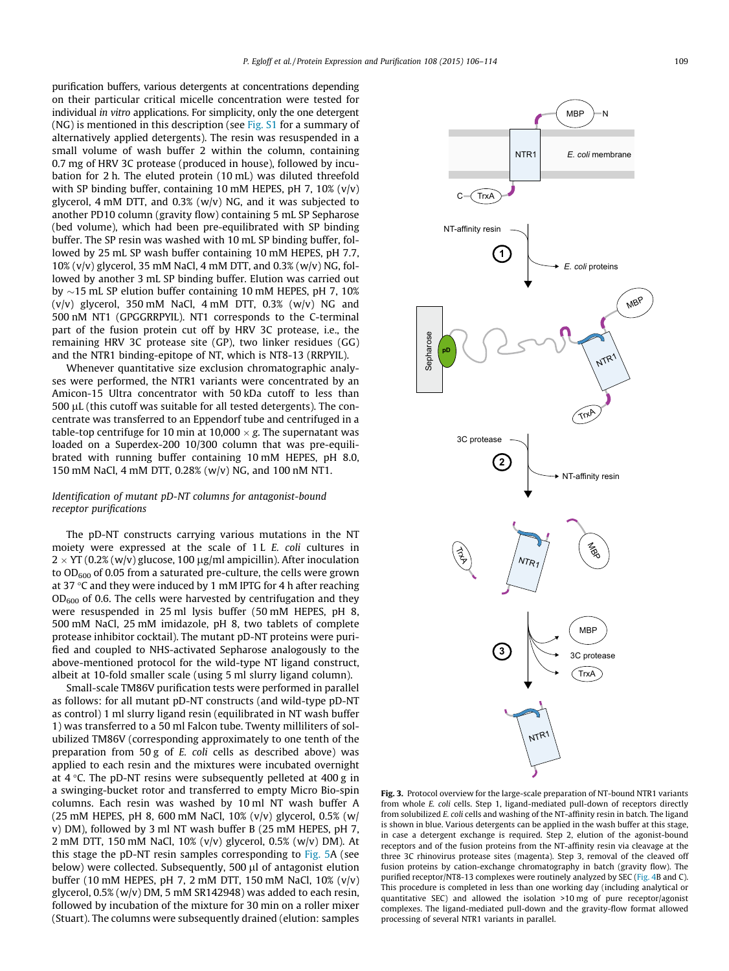<span id="page-3-0"></span>purification buffers, various detergents at concentrations depending on their particular critical micelle concentration were tested for individual in vitro applications. For simplicity, only the one detergent (NG) is mentioned in this description (see Fig. S1 for a summary of alternatively applied detergents). The resin was resuspended in a small volume of wash buffer 2 within the column, containing 0.7 mg of HRV 3C protease (produced in house), followed by incubation for 2 h. The eluted protein (10 mL) was diluted threefold with SP binding buffer, containing 10 mM HEPES, pH 7, 10% (v/v) glycerol, 4 mM DTT, and 0.3% (w/v) NG, and it was subjected to another PD10 column (gravity flow) containing 5 mL SP Sepharose (bed volume), which had been pre-equilibrated with SP binding buffer. The SP resin was washed with 10 mL SP binding buffer, followed by 25 mL SP wash buffer containing 10 mM HEPES, pH 7.7, 10% (v/v) glycerol, 35 mM NaCl, 4 mM DTT, and 0.3% (w/v) NG, followed by another 3 mL SP binding buffer. Elution was carried out by  $\sim$ 15 mL SP elution buffer containing 10 mM HEPES, pH 7, 10%  $(v/v)$  glycerol, 350 mM NaCl, 4 mM DTT, 0.3%  $(w/v)$  NG and 500 nM NT1 (GPGGRRPYIL). NT1 corresponds to the C-terminal part of the fusion protein cut off by HRV 3C protease, i.e., the remaining HRV 3C protease site (GP), two linker residues (GG) and the NTR1 binding-epitope of NT, which is NT8-13 (RRPYIL).

Whenever quantitative size exclusion chromatographic analyses were performed, the NTR1 variants were concentrated by an Amicon-15 Ultra concentrator with 50 kDa cutoff to less than  $500 \mu$ L (this cutoff was suitable for all tested detergents). The concentrate was transferred to an Eppendorf tube and centrifuged in a table-top centrifuge for 10 min at 10,000  $\times$  g. The supernatant was loaded on a Superdex-200 10/300 column that was pre-equilibrated with running buffer containing 10 mM HEPES, pH 8.0, 150 mM NaCl, 4 mM DTT, 0.28% (w/v) NG, and 100 nM NT1.

## Identification of mutant pD-NT columns for antagonist-bound receptor purifications

The pD-NT constructs carrying various mutations in the NT moiety were expressed at the scale of 1 L E. coli cultures in  $2 \times$  YT (0.2% (w/v) glucose, 100  $\mu$ g/ml ampicillin). After inoculation to  $OD<sub>600</sub>$  of 0.05 from a saturated pre-culture, the cells were grown at 37  $\degree$ C and they were induced by 1 mM IPTG for 4 h after reaching  $OD_{600}$  of 0.6. The cells were harvested by centrifugation and they were resuspended in 25 ml lysis buffer (50 mM HEPES, pH 8, 500 mM NaCl, 25 mM imidazole, pH 8, two tablets of complete protease inhibitor cocktail). The mutant pD-NT proteins were purified and coupled to NHS-activated Sepharose analogously to the above-mentioned protocol for the wild-type NT ligand construct, albeit at 10-fold smaller scale (using 5 ml slurry ligand column).

Small-scale TM86V purification tests were performed in parallel as follows: for all mutant pD-NT constructs (and wild-type pD-NT as control) 1 ml slurry ligand resin (equilibrated in NT wash buffer 1) was transferred to a 50 ml Falcon tube. Twenty milliliters of solubilized TM86V (corresponding approximately to one tenth of the preparation from 50 g of E. coli cells as described above) was applied to each resin and the mixtures were incubated overnight at  $4^{\circ}$ C. The pD-NT resins were subsequently pelleted at  $400 g$  in a swinging-bucket rotor and transferred to empty Micro Bio-spin columns. Each resin was washed by 10 ml NT wash buffer A (25 mM HEPES, pH 8, 600 mM NaCl, 10% (v/v) glycerol, 0.5% (w/ v) DM), followed by 3 ml NT wash buffer B (25 mM HEPES, pH 7, 2 mM DTT, 150 mM NaCl, 10% (v/v) glycerol, 0.5% (w/v) DM). At this stage the pD-NT resin samples corresponding to [Fig. 5A](#page-5-0) (see below) were collected. Subsequently, 500 µl of antagonist elution buffer (10 mM HEPES, pH 7, 2 mM DTT, 150 mM NaCl, 10% (v/v) glycerol,  $0.5\%$  (w/v) DM, 5 mM SR142948) was added to each resin, followed by incubation of the mixture for 30 min on a roller mixer (Stuart). The columns were subsequently drained (elution: samples



Fig. 3. Protocol overview for the large-scale preparation of NT-bound NTR1 variants from whole E. coli cells. Step 1, ligand-mediated pull-down of receptors directly from solubilized E. coli cells and washing of the NT-affinity resin in batch. The ligand is shown in blue. Various detergents can be applied in the wash buffer at this stage, in case a detergent exchange is required. Step 2, elution of the agonist-bound receptors and of the fusion proteins from the NT-affinity resin via cleavage at the three 3C rhinovirus protease sites (magenta). Step 3, removal of the cleaved off fusion proteins by cation-exchange chromatography in batch (gravity flow). The purified receptor/NT8-13 complexes were routinely analyzed by SEC ([Fig. 4](#page-4-0)B and C). This procedure is completed in less than one working day (including analytical or quantitative SEC) and allowed the isolation >10 mg of pure receptor/agonist complexes. The ligand-mediated pull-down and the gravity-flow format allowed processing of several NTR1 variants in parallel.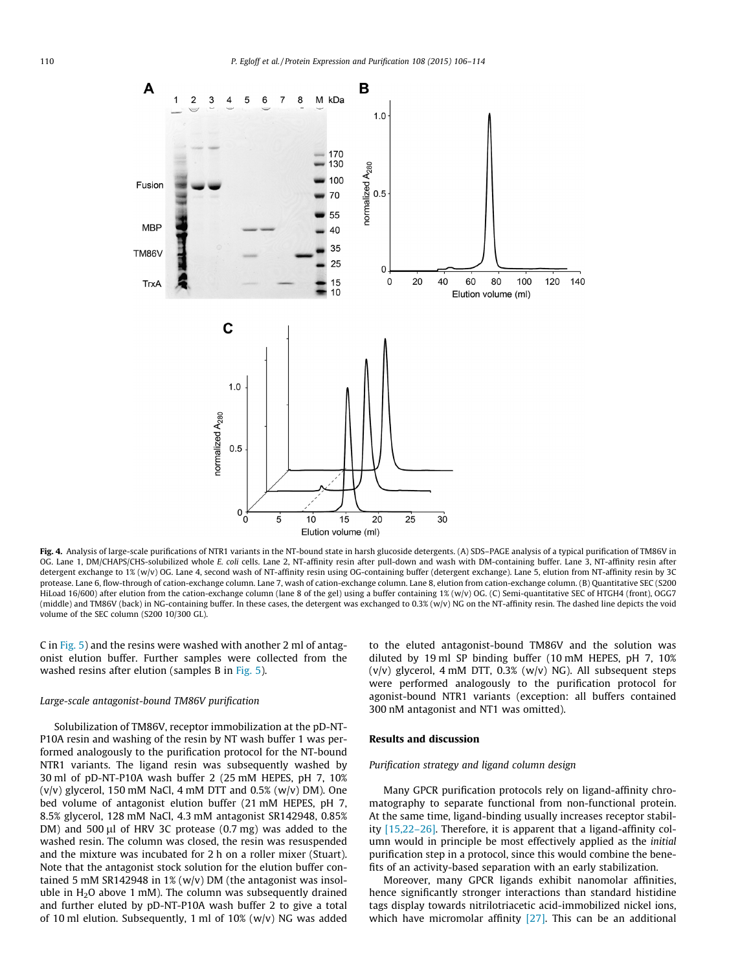<span id="page-4-0"></span>

Fig. 4. Analysis of large-scale purifications of NTR1 variants in the NT-bound state in harsh glucoside detergents. (A) SDS-PAGE analysis of a typical purification of TM86V in OG. Lane 1, DM/CHAPS/CHS-solubilized whole E. coli cells. Lane 2, NT-affinity resin after pull-down and wash with DM-containing buffer. Lane 3, NT-affinity resin after detergent exchange to 1% (w/v) OG. Lane 4, second wash of NT-affinity resin using OG-containing buffer (detergent exchange). Lane 5, elution from NT-affinity resin by 3C protease. Lane 6, flow-through of cation-exchange column. Lane 7, wash of cation-exchange column. Lane 8, elution from cation-exchange column. (B) Quantitative SEC (S200 HiLoad 16/600) after elution from the cation-exchange column (lane 8 of the gel) using a buffer containing 1% (w/v) OG. (C) Semi-quantitative SEC of HTGH4 (front), OGG7 (middle) and TM86V (back) in NG-containing buffer. In these cases, the detergent was exchanged to 0.3% (w/v) NG on the NT-affinity resin. The dashed line depicts the void volume of the SEC column (S200 10/300 GL).

C in [Fig. 5\)](#page-5-0) and the resins were washed with another 2 ml of antagonist elution buffer. Further samples were collected from the washed resins after elution (samples B in [Fig. 5](#page-5-0)).

#### Large-scale antagonist-bound TM86V purification

Solubilization of TM86V, receptor immobilization at the pD-NT-P10A resin and washing of the resin by NT wash buffer 1 was performed analogously to the purification protocol for the NT-bound NTR1 variants. The ligand resin was subsequently washed by 30 ml of pD-NT-P10A wash buffer 2 (25 mM HEPES, pH 7, 10%  $(v/v)$  glycerol, 150 mM NaCl, 4 mM DTT and 0.5%  $(w/v)$  DM). One bed volume of antagonist elution buffer (21 mM HEPES, pH 7, 8.5% glycerol, 128 mM NaCl, 4.3 mM antagonist SR142948, 0.85% DM) and 500  $\mu$ l of HRV 3C protease (0.7 mg) was added to the washed resin. The column was closed, the resin was resuspended and the mixture was incubated for 2 h on a roller mixer (Stuart). Note that the antagonist stock solution for the elution buffer contained 5 mM SR142948 in 1% (w/v) DM (the antagonist was insoluble in  $H<sub>2</sub>O$  above 1 mM). The column was subsequently drained and further eluted by pD-NT-P10A wash buffer 2 to give a total of 10 ml elution. Subsequently, 1 ml of 10%  $(w/v)$  NG was added

to the eluted antagonist-bound TM86V and the solution was diluted by 19 ml SP binding buffer (10 mM HEPES, pH 7, 10%  $(v/v)$  glycerol, 4 mM DTT, 0.3%  $(w/v)$  NG). All subsequent steps were performed analogously to the purification protocol for agonist-bound NTR1 variants (exception: all buffers contained 300 nM antagonist and NT1 was omitted).

## Results and discussion

#### Purification strategy and ligand column design

Many GPCR purification protocols rely on ligand-affinity chromatography to separate functional from non-functional protein. At the same time, ligand-binding usually increases receptor stability [\[15,22–26\].](#page-7-0) Therefore, it is apparent that a ligand-affinity column would in principle be most effectively applied as the initial purification step in a protocol, since this would combine the benefits of an activity-based separation with an early stabilization.

Moreover, many GPCR ligands exhibit nanomolar affinities, hence significantly stronger interactions than standard histidine tags display towards nitrilotriacetic acid-immobilized nickel ions, which have micromolar affinity [\[27\]](#page-7-0). This can be an additional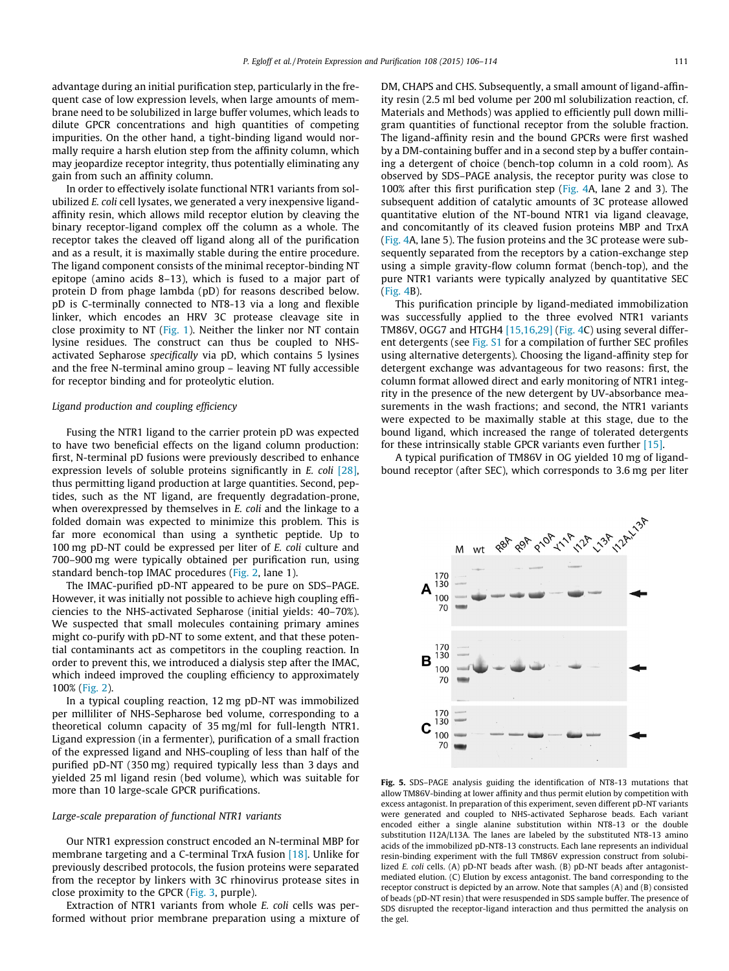<span id="page-5-0"></span>advantage during an initial purification step, particularly in the frequent case of low expression levels, when large amounts of membrane need to be solubilized in large buffer volumes, which leads to dilute GPCR concentrations and high quantities of competing impurities. On the other hand, a tight-binding ligand would normally require a harsh elution step from the affinity column, which may jeopardize receptor integrity, thus potentially eliminating any gain from such an affinity column.

In order to effectively isolate functional NTR1 variants from solubilized E. coli cell lysates, we generated a very inexpensive ligandaffinity resin, which allows mild receptor elution by cleaving the binary receptor-ligand complex off the column as a whole. The receptor takes the cleaved off ligand along all of the purification and as a result, it is maximally stable during the entire procedure. The ligand component consists of the minimal receptor-binding NT epitope (amino acids 8–13), which is fused to a major part of protein D from phage lambda (pD) for reasons described below. pD is C-terminally connected to NT8-13 via a long and flexible linker, which encodes an HRV 3C protease cleavage site in close proximity to NT [\(Fig. 1](#page-1-0)). Neither the linker nor NT contain lysine residues. The construct can thus be coupled to NHSactivated Sepharose specifically via pD, which contains 5 lysines and the free N-terminal amino group – leaving NT fully accessible for receptor binding and for proteolytic elution.

### Ligand production and coupling efficiency

Fusing the NTR1 ligand to the carrier protein pD was expected to have two beneficial effects on the ligand column production: first, N-terminal pD fusions were previously described to enhance expression levels of soluble proteins significantly in E. coli [\[28\],](#page-8-0) thus permitting ligand production at large quantities. Second, peptides, such as the NT ligand, are frequently degradation-prone, when overexpressed by themselves in E. coli and the linkage to a folded domain was expected to minimize this problem. This is far more economical than using a synthetic peptide. Up to 100 mg pD-NT could be expressed per liter of E. coli culture and 700–900 mg were typically obtained per purification run, using standard bench-top IMAC procedures [\(Fig. 2,](#page-2-0) lane 1).

The IMAC-purified pD-NT appeared to be pure on SDS–PAGE. However, it was initially not possible to achieve high coupling efficiencies to the NHS-activated Sepharose (initial yields: 40–70%). We suspected that small molecules containing primary amines might co-purify with pD-NT to some extent, and that these potential contaminants act as competitors in the coupling reaction. In order to prevent this, we introduced a dialysis step after the IMAC, which indeed improved the coupling efficiency to approximately 100% [\(Fig. 2\)](#page-2-0).

In a typical coupling reaction, 12 mg pD-NT was immobilized per milliliter of NHS-Sepharose bed volume, corresponding to a theoretical column capacity of 35 mg/ml for full-length NTR1. Ligand expression (in a fermenter), purification of a small fraction of the expressed ligand and NHS-coupling of less than half of the purified pD-NT (350 mg) required typically less than 3 days and yielded 25 ml ligand resin (bed volume), which was suitable for more than 10 large-scale GPCR purifications.

#### Large-scale preparation of functional NTR1 variants

Our NTR1 expression construct encoded an N-terminal MBP for membrane targeting and a C-terminal TrxA fusion [\[18\]](#page-7-0). Unlike for previously described protocols, the fusion proteins were separated from the receptor by linkers with 3C rhinovirus protease sites in close proximity to the GPCR [\(Fig. 3,](#page-3-0) purple).

Extraction of NTR1 variants from whole E. coli cells was performed without prior membrane preparation using a mixture of DM, CHAPS and CHS. Subsequently, a small amount of ligand-affinity resin (2.5 ml bed volume per 200 ml solubilization reaction, cf. Materials and Methods) was applied to efficiently pull down milligram quantities of functional receptor from the soluble fraction. The ligand-affinity resin and the bound GPCRs were first washed by a DM-containing buffer and in a second step by a buffer containing a detergent of choice (bench-top column in a cold room). As observed by SDS–PAGE analysis, the receptor purity was close to 100% after this first purification step ([Fig. 4A](#page-4-0), lane 2 and 3). The subsequent addition of catalytic amounts of 3C protease allowed quantitative elution of the NT-bound NTR1 via ligand cleavage, and concomitantly of its cleaved fusion proteins MBP and TrxA ([Fig. 4](#page-4-0)A, lane 5). The fusion proteins and the 3C protease were subsequently separated from the receptors by a cation-exchange step using a simple gravity-flow column format (bench-top), and the pure NTR1 variants were typically analyzed by quantitative SEC ([Fig. 4B](#page-4-0)).

This purification principle by ligand-mediated immobilization was successfully applied to the three evolved NTR1 variants TM86V, OGG7 and HTGH4 [\[15,16,29\]](#page-7-0) [\(Fig. 4](#page-4-0)C) using several different detergents (see Fig. S1 for a compilation of further SEC profiles using alternative detergents). Choosing the ligand-affinity step for detergent exchange was advantageous for two reasons: first, the column format allowed direct and early monitoring of NTR1 integrity in the presence of the new detergent by UV-absorbance measurements in the wash fractions; and second, the NTR1 variants were expected to be maximally stable at this stage, due to the bound ligand, which increased the range of tolerated detergents for these intrinsically stable GPCR variants even further [\[15\].](#page-7-0)

A typical purification of TM86V in OG yielded 10 mg of ligandbound receptor (after SEC), which corresponds to 3.6 mg per liter



Fig. 5. SDS–PAGE analysis guiding the identification of NT8-13 mutations that allow TM86V-binding at lower affinity and thus permit elution by competition with excess antagonist. In preparation of this experiment, seven different pD-NT variants were generated and coupled to NHS-activated Sepharose beads. Each variant encoded either a single alanine substitution within NT8-13 or the double substitution I12A/L13A. The lanes are labeled by the substituted NT8-13 amino acids of the immobilized pD-NT8-13 constructs. Each lane represents an individual resin-binding experiment with the full TM86V expression construct from solubilized E. coli cells. (A) pD-NT beads after wash. (B) pD-NT beads after antagonistmediated elution. (C) Elution by excess antagonist. The band corresponding to the receptor construct is depicted by an arrow. Note that samples (A) and (B) consisted of beads (pD-NT resin) that were resuspended in SDS sample buffer. The presence of SDS disrupted the receptor-ligand interaction and thus permitted the analysis on the gel.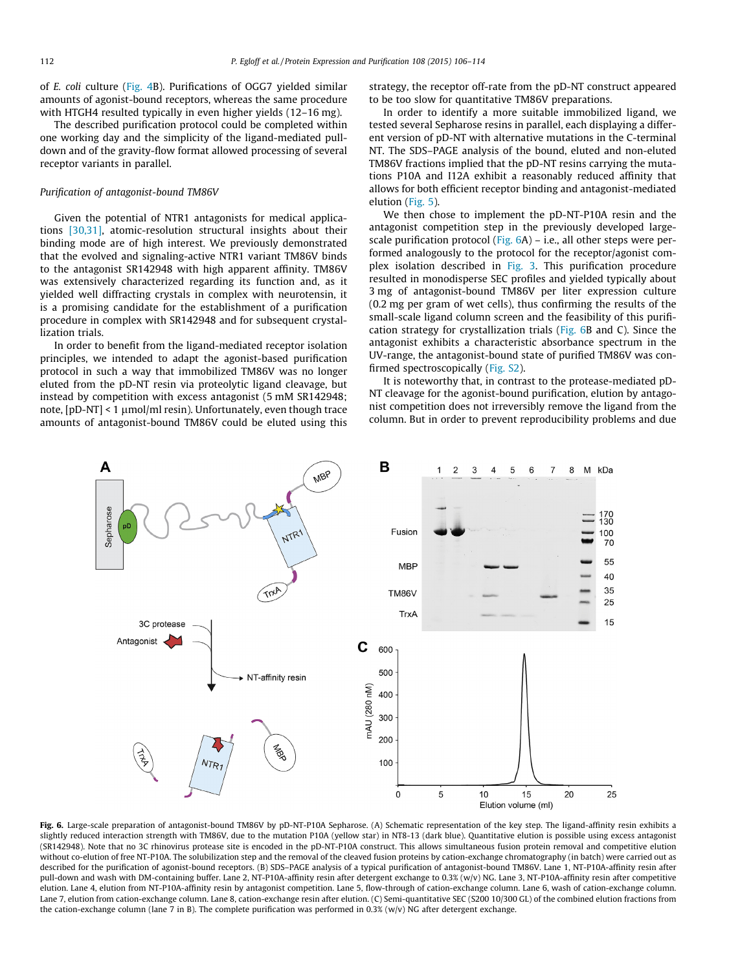<span id="page-6-0"></span>of E. coli culture [\(Fig. 4B](#page-4-0)). Purifications of OGG7 yielded similar amounts of agonist-bound receptors, whereas the same procedure with HTGH4 resulted typically in even higher yields (12–16 mg).

The described purification protocol could be completed within one working day and the simplicity of the ligand-mediated pulldown and of the gravity-flow format allowed processing of several receptor variants in parallel.

#### Purification of antagonist-bound TM86V

Given the potential of NTR1 antagonists for medical applications [\[30,31\]](#page-8-0), atomic-resolution structural insights about their binding mode are of high interest. We previously demonstrated that the evolved and signaling-active NTR1 variant TM86V binds to the antagonist SR142948 with high apparent affinity. TM86V was extensively characterized regarding its function and, as it yielded well diffracting crystals in complex with neurotensin, it is a promising candidate for the establishment of a purification procedure in complex with SR142948 and for subsequent crystallization trials.

In order to benefit from the ligand-mediated receptor isolation principles, we intended to adapt the agonist-based purification protocol in such a way that immobilized TM86V was no longer eluted from the pD-NT resin via proteolytic ligand cleavage, but instead by competition with excess antagonist (5 mM SR142948; note,  $[pD-NT] < 1 \mu$ mol/ml resin). Unfortunately, even though trace amounts of antagonist-bound TM86V could be eluted using this strategy, the receptor off-rate from the pD-NT construct appeared to be too slow for quantitative TM86V preparations.

In order to identify a more suitable immobilized ligand, we tested several Sepharose resins in parallel, each displaying a different version of pD-NT with alternative mutations in the C-terminal NT. The SDS–PAGE analysis of the bound, eluted and non-eluted TM86V fractions implied that the pD-NT resins carrying the mutations P10A and I12A exhibit a reasonably reduced affinity that allows for both efficient receptor binding and antagonist-mediated elution [\(Fig. 5\)](#page-5-0).

We then chose to implement the pD-NT-P10A resin and the antagonist competition step in the previously developed largescale purification protocol (Fig.  $6A$ ) – i.e., all other steps were performed analogously to the protocol for the receptor/agonist com-plex isolation described in [Fig. 3](#page-3-0). This purification procedure resulted in monodisperse SEC profiles and yielded typically about 3 mg of antagonist-bound TM86V per liter expression culture (0.2 mg per gram of wet cells), thus confirming the results of the small-scale ligand column screen and the feasibility of this purification strategy for crystallization trials (Fig. 6B and C). Since the antagonist exhibits a characteristic absorbance spectrum in the UV-range, the antagonist-bound state of purified TM86V was confirmed spectroscopically (Fig. S2).

It is noteworthy that, in contrast to the protease-mediated pD-NT cleavage for the agonist-bound purification, elution by antagonist competition does not irreversibly remove the ligand from the column. But in order to prevent reproducibility problems and due



Fig. 6. Large-scale preparation of antagonist-bound TM86V by pD-NT-P10A Sepharose. (A) Schematic representation of the key step. The ligand-affinity resin exhibits a slightly reduced interaction strength with TM86V, due to the mutation P10A (yellow star) in NT8-13 (dark blue). Quantitative elution is possible using excess antagonist (SR142948). Note that no 3C rhinovirus protease site is encoded in the pD-NT-P10A construct. This allows simultaneous fusion protein removal and competitive elution without co-elution of free NT-P10A. The solubilization step and the removal of the cleaved fusion proteins by cation-exchange chromatography (in batch) were carried out as described for the purification of agonist-bound receptors. (B) SDS-PAGE analysis of a typical purification of antagonist-bound TM86V. Lane 1, NT-P10A-affinity resin after pull-down and wash with DM-containing buffer. Lane 2, NT-P10A-affinity resin after detergent exchange to 0.3% (w/v) NG. Lane 3, NT-P10A-affinity resin after competitive elution. Lane 4, elution from NT-P10A-affinity resin by antagonist competition. Lane 5, flow-through of cation-exchange column. Lane 6, wash of cation-exchange column. Lane 7, elution from cation-exchange column. Lane 8, cation-exchange resin after elution. (C) Semi-quantitative SEC (S200 10/300 GL) of the combined elution fractions from the cation-exchange column (lane 7 in B). The complete purification was performed in 0.3% (w/v) NG after detergent exchange.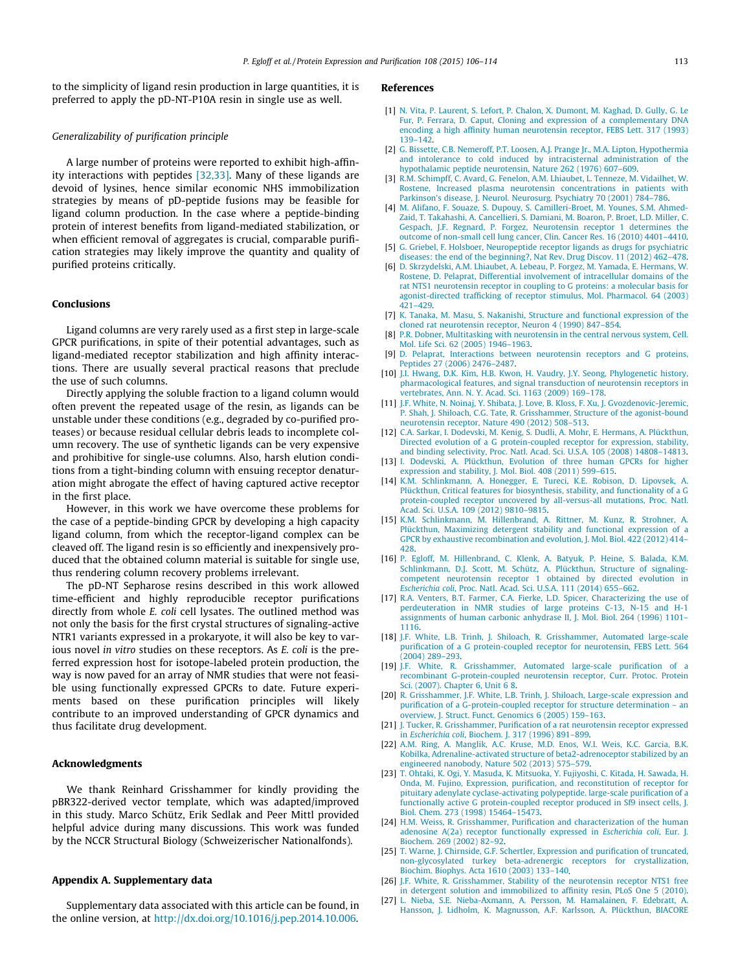<span id="page-7-0"></span>to the simplicity of ligand resin production in large quantities, it is preferred to apply the pD-NT-P10A resin in single use as well.

## Generalizability of purification principle

A large number of proteins were reported to exhibit high-affinity interactions with peptides [\[32,33\]](#page-8-0). Many of these ligands are devoid of lysines, hence similar economic NHS immobilization strategies by means of pD-peptide fusions may be feasible for ligand column production. In the case where a peptide-binding protein of interest benefits from ligand-mediated stabilization, or when efficient removal of aggregates is crucial, comparable purification strategies may likely improve the quantity and quality of purified proteins critically.

#### Conclusions

Ligand columns are very rarely used as a first step in large-scale GPCR purifications, in spite of their potential advantages, such as ligand-mediated receptor stabilization and high affinity interactions. There are usually several practical reasons that preclude the use of such columns.

Directly applying the soluble fraction to a ligand column would often prevent the repeated usage of the resin, as ligands can be unstable under these conditions (e.g., degraded by co-purified proteases) or because residual cellular debris leads to incomplete column recovery. The use of synthetic ligands can be very expensive and prohibitive for single-use columns. Also, harsh elution conditions from a tight-binding column with ensuing receptor denaturation might abrogate the effect of having captured active receptor in the first place.

However, in this work we have overcome these problems for the case of a peptide-binding GPCR by developing a high capacity ligand column, from which the receptor-ligand complex can be cleaved off. The ligand resin is so efficiently and inexpensively produced that the obtained column material is suitable for single use, thus rendering column recovery problems irrelevant.

The pD-NT Sepharose resins described in this work allowed time-efficient and highly reproducible receptor purifications directly from whole E. coli cell lysates. The outlined method was not only the basis for the first crystal structures of signaling-active NTR1 variants expressed in a prokaryote, it will also be key to various novel in vitro studies on these receptors. As E. coli is the preferred expression host for isotope-labeled protein production, the way is now paved for an array of NMR studies that were not feasible using functionally expressed GPCRs to date. Future experiments based on these purification principles will likely contribute to an improved understanding of GPCR dynamics and thus facilitate drug development.

#### Acknowledgments

We thank Reinhard Grisshammer for kindly providing the pBR322-derived vector template, which was adapted/improved in this study. Marco Schütz, Erik Sedlak and Peer Mittl provided helpful advice during many discussions. This work was funded by the NCCR Structural Biology (Schweizerischer Nationalfonds).

## Appendix A. Supplementary data

Supplementary data associated with this article can be found, in the online version, at [http://dx.doi.org/10.1016/j.pep.2014.10.006.](http://dx.doi.org/10.1016/j.pep.2014.10.006)

#### References

- [1] [N. Vita, P. Laurent, S. Lefort, P. Chalon, X. Dumont, M. Kaghad, D. Gully, G. Le](http://refhub.elsevier.com/S1046-5928(14)00231-9/h0005) [Fur, P. Ferrara, D. Caput, Cloning and expression of a complementary DNA](http://refhub.elsevier.com/S1046-5928(14)00231-9/h0005) [encoding a high affinity human neurotensin receptor, FEBS Lett. 317 \(1993\)](http://refhub.elsevier.com/S1046-5928(14)00231-9/h0005) [139–142](http://refhub.elsevier.com/S1046-5928(14)00231-9/h0005).
- [2] [G. Bissette, C.B. Nemeroff, P.T. Loosen, A.J. Prange Jr., M.A. Lipton, Hypothermia](http://refhub.elsevier.com/S1046-5928(14)00231-9/h0010) [and intolerance to cold induced by intracisternal administration of the](http://refhub.elsevier.com/S1046-5928(14)00231-9/h0010) [hypothalamic peptide neurotensin, Nature 262 \(1976\) 607–609](http://refhub.elsevier.com/S1046-5928(14)00231-9/h0010).
- [3] [R.M. Schimpff, C. Avard, G. Fenelon, A.M. Lhiaubet, L. Tenneze, M. Vidailhet, W.](http://refhub.elsevier.com/S1046-5928(14)00231-9/h0015) [Rostene, Increased plasma neurotensin concentrations in patients with](http://refhub.elsevier.com/S1046-5928(14)00231-9/h0015) [Parkinson's disease, J. Neurol. Neurosurg. Psychiatry 70 \(2001\) 784–786.](http://refhub.elsevier.com/S1046-5928(14)00231-9/h0015)
- [4] [M. Alifano, F. Souaze, S. Dupouy, S. Camilleri-Broet, M. Younes, S.M. Ahmed-](http://refhub.elsevier.com/S1046-5928(14)00231-9/h0020)[Zaid, T. Takahashi, A. Cancellieri, S. Damiani, M. Boaron, P. Broet, L.D. Miller, C.](http://refhub.elsevier.com/S1046-5928(14)00231-9/h0020) [Gespach, J.F. Regnard, P. Forgez, Neurotensin receptor 1 determines the](http://refhub.elsevier.com/S1046-5928(14)00231-9/h0020) [outcome of non-small cell lung cancer, Clin. Cancer Res. 16 \(2010\) 4401–4410.](http://refhub.elsevier.com/S1046-5928(14)00231-9/h0020)
- [5] [G. Griebel, F. Holsboer, Neuropeptide receptor ligands as drugs for psychiatric](http://refhub.elsevier.com/S1046-5928(14)00231-9/h0025) [diseases: the end of the beginning?, Nat Rev. Drug Discov. 11 \(2012\) 462–478.](http://refhub.elsevier.com/S1046-5928(14)00231-9/h0025)
- [6] [D. Skrzydelski, A.M. Lhiaubet, A. Lebeau, P. Forgez, M. Yamada, E. Hermans, W.](http://refhub.elsevier.com/S1046-5928(14)00231-9/h0030) [Rostene, D. Pelaprat, Differential involvement of intracellular domains of the](http://refhub.elsevier.com/S1046-5928(14)00231-9/h0030) [rat NTS1 neurotensin receptor in coupling to G proteins: a molecular basis for](http://refhub.elsevier.com/S1046-5928(14)00231-9/h0030) [agonist-directed trafficking of receptor stimulus, Mol. Pharmacol. 64 \(2003\)](http://refhub.elsevier.com/S1046-5928(14)00231-9/h0030) [421–429](http://refhub.elsevier.com/S1046-5928(14)00231-9/h0030).
- [7] [K. Tanaka, M. Masu, S. Nakanishi, Structure and functional expression of the](http://refhub.elsevier.com/S1046-5928(14)00231-9/h0035) [cloned rat neurotensin receptor, Neuron 4 \(1990\) 847–854](http://refhub.elsevier.com/S1046-5928(14)00231-9/h0035).
- [8] [P.R. Dobner, Multitasking with neurotensin in the central nervous system, Cell.](http://refhub.elsevier.com/S1046-5928(14)00231-9/h0040) [Mol. Life Sci. 62 \(2005\) 1946–1963](http://refhub.elsevier.com/S1046-5928(14)00231-9/h0040).
- [9] [D. Pelaprat, Interactions between neurotensin receptors and G proteins,](http://refhub.elsevier.com/S1046-5928(14)00231-9/h0045) [Peptides 27 \(2006\) 2476–2487](http://refhub.elsevier.com/S1046-5928(14)00231-9/h0045).
- [10] [J.I. Hwang, D.K. Kim, H.B. Kwon, H. Vaudry, J.Y. Seong, Phylogenetic history,](http://refhub.elsevier.com/S1046-5928(14)00231-9/h0050) [pharmacological features, and signal transduction of neurotensin receptors in](http://refhub.elsevier.com/S1046-5928(14)00231-9/h0050) [vertebrates, Ann. N. Y. Acad. Sci. 1163 \(2009\) 169–178.](http://refhub.elsevier.com/S1046-5928(14)00231-9/h0050)
- [11] [J.F. White, N. Noinaj, Y. Shibata, J. Love, B. Kloss, F. Xu, J. Gvozdenovic-Jeremic,](http://refhub.elsevier.com/S1046-5928(14)00231-9/h0055) [P. Shah, J. Shiloach, C.G. Tate, R. Grisshammer, Structure of the agonist-bound](http://refhub.elsevier.com/S1046-5928(14)00231-9/h0055) [neurotensin receptor, Nature 490 \(2012\) 508–513.](http://refhub.elsevier.com/S1046-5928(14)00231-9/h0055)
- [12] [C.A. Sarkar, I. Dodevski, M. Kenig, S. Dudli, A. Mohr, E. Hermans, A. Plückthun,](http://refhub.elsevier.com/S1046-5928(14)00231-9/h0060) [Directed evolution of a G protein-coupled receptor for expression, stability,](http://refhub.elsevier.com/S1046-5928(14)00231-9/h0060) [and binding selectivity, Proc. Natl. Acad. Sci. U.S.A. 105 \(2008\) 14808–14813.](http://refhub.elsevier.com/S1046-5928(14)00231-9/h0060)
- [13] [I. Dodevski, A. Plückthun, Evolution of three human GPCRs for higher](http://refhub.elsevier.com/S1046-5928(14)00231-9/h0065) [expression and stability, J. Mol. Biol. 408 \(2011\) 599–615](http://refhub.elsevier.com/S1046-5928(14)00231-9/h0065).
- [14] [K.M. Schlinkmann, A. Honegger, E. Tureci, K.E. Robison, D. Lipovsek, A.](http://refhub.elsevier.com/S1046-5928(14)00231-9/h0070) [Plückthun, Critical features for biosynthesis, stability, and functionality of a G](http://refhub.elsevier.com/S1046-5928(14)00231-9/h0070) [protein-coupled receptor uncovered by all-versus-all mutations, Proc. Natl.](http://refhub.elsevier.com/S1046-5928(14)00231-9/h0070) [Acad. Sci. U.S.A. 109 \(2012\) 9810–9815.](http://refhub.elsevier.com/S1046-5928(14)00231-9/h0070)
- [15] [K.M. Schlinkmann, M. Hillenbrand, A. Rittner, M. Kunz, R. Strohner, A.](http://refhub.elsevier.com/S1046-5928(14)00231-9/h0075) [Plückthun, Maximizing detergent stability and functional expression of a](http://refhub.elsevier.com/S1046-5928(14)00231-9/h0075) [GPCR by exhaustive recombination and evolution, J. Mol. Biol. 422 \(2012\) 414–](http://refhub.elsevier.com/S1046-5928(14)00231-9/h0075) [428.](http://refhub.elsevier.com/S1046-5928(14)00231-9/h0075)
- [16] [P. Egloff, M. Hillenbrand, C. Klenk, A. Batyuk, P. Heine, S. Balada, K.M.](http://refhub.elsevier.com/S1046-5928(14)00231-9/h0080) [Schlinkmann, D.J. Scott, M. Schütz, A. Plückthun, Structure of signaling](http://refhub.elsevier.com/S1046-5928(14)00231-9/h0080)[competent neurotensin receptor 1 obtained by directed evolution in](http://refhub.elsevier.com/S1046-5928(14)00231-9/h0080) Escherichia coli[, Proc. Natl. Acad. Sci. U.S.A. 111 \(2014\) 655–662.](http://refhub.elsevier.com/S1046-5928(14)00231-9/h0080)
- [17] [R.A. Venters, B.T. Farmer, C.A. Fierke, L.D. Spicer, Characterizing the use of](http://refhub.elsevier.com/S1046-5928(14)00231-9/h0085) [perdeuteration in NMR studies of large proteins C-13, N-15 and H-1](http://refhub.elsevier.com/S1046-5928(14)00231-9/h0085) [assignments of human carbonic anhydrase II, J. Mol. Biol. 264 \(1996\) 1101–](http://refhub.elsevier.com/S1046-5928(14)00231-9/h0085) [1116](http://refhub.elsevier.com/S1046-5928(14)00231-9/h0085).
- [18] [J.F. White, L.B. Trinh, J. Shiloach, R. Grisshammer, Automated large-scale](http://refhub.elsevier.com/S1046-5928(14)00231-9/h0090) [purification of a G protein-coupled receptor for neurotensin, FEBS Lett. 564](http://refhub.elsevier.com/S1046-5928(14)00231-9/h0090) [\(2004\) 289–293.](http://refhub.elsevier.com/S1046-5928(14)00231-9/h0090)
- [19] [J.F. White, R. Grisshammer, Automated large-scale purification of a](http://refhub.elsevier.com/S1046-5928(14)00231-9/h0170) [recombinant G-protein-coupled neurotensin receptor, Curr. Protoc. Protein](http://refhub.elsevier.com/S1046-5928(14)00231-9/h0170) [Sci. \(2007\). Chapter 6, Unit 6 8](http://refhub.elsevier.com/S1046-5928(14)00231-9/h0170).
- [20] [R. Grisshammer, J.F. White, L.B. Trinh, J. Shiloach, Large-scale expression and](http://refhub.elsevier.com/S1046-5928(14)00231-9/h0100) [purification of a G-protein-coupled receptor for structure determination – an](http://refhub.elsevier.com/S1046-5928(14)00231-9/h0100) [overview, J. Struct. Funct. Genomics 6 \(2005\) 159–163](http://refhub.elsevier.com/S1046-5928(14)00231-9/h0100).
- [21] [J. Tucker, R. Grisshammer, Purification of a rat neurotensin receptor expressed](http://refhub.elsevier.com/S1046-5928(14)00231-9/h0105) in Escherichia coli[, Biochem. J. 317 \(1996\) 891–899](http://refhub.elsevier.com/S1046-5928(14)00231-9/h0105).
- [22] [A.M. Ring, A. Manglik, A.C. Kruse, M.D. Enos, W.I. Weis, K.C. Garcia, B.K.](http://refhub.elsevier.com/S1046-5928(14)00231-9/h0110) [Kobilka, Adrenaline-activated structure of beta2-adrenoceptor stabilized by an](http://refhub.elsevier.com/S1046-5928(14)00231-9/h0110) [engineered nanobody, Nature 502 \(2013\) 575–579.](http://refhub.elsevier.com/S1046-5928(14)00231-9/h0110)
- [23] [T. Ohtaki, K. Ogi, Y. Masuda, K. Mitsuoka, Y. Fujiyoshi, C. Kitada, H. Sawada, H.](http://refhub.elsevier.com/S1046-5928(14)00231-9/h0115) [Onda, M. Fujino, Expression, purification, and reconstitution of receptor for](http://refhub.elsevier.com/S1046-5928(14)00231-9/h0115) [pituitary adenylate cyclase-activating polypeptide. large-scale purification of a](http://refhub.elsevier.com/S1046-5928(14)00231-9/h0115) [functionally active G protein-coupled receptor produced in Sf9 insect cells, J.](http://refhub.elsevier.com/S1046-5928(14)00231-9/h0115) [Biol. Chem. 273 \(1998\) 15464–15473](http://refhub.elsevier.com/S1046-5928(14)00231-9/h0115).
- [24] [H.M. Weiss, R. Grisshammer, Purification and characterization of the human](http://refhub.elsevier.com/S1046-5928(14)00231-9/h0120) [adenosine A\(2a\) receptor functionally expressed in](http://refhub.elsevier.com/S1046-5928(14)00231-9/h0120) Escherichia coli, Eur. J. [Biochem. 269 \(2002\) 82–92.](http://refhub.elsevier.com/S1046-5928(14)00231-9/h0120)
- [25] [T. Warne, J. Chirnside, G.F. Schertler, Expression and purification of truncated,](http://refhub.elsevier.com/S1046-5928(14)00231-9/h0125) [non-glycosylated turkey beta-adrenergic receptors for crystallization,](http://refhub.elsevier.com/S1046-5928(14)00231-9/h0125) [Biochim. Biophys. Acta 1610 \(2003\) 133–140.](http://refhub.elsevier.com/S1046-5928(14)00231-9/h0125)
- [26] [J.F. White, R. Grisshammer, Stability of the neurotensin receptor NTS1 free](http://refhub.elsevier.com/S1046-5928(14)00231-9/h0130) [in detergent solution and immobilized to affinity resin, PLoS One 5 \(2010\).](http://refhub.elsevier.com/S1046-5928(14)00231-9/h0130)
- [27] [L. Nieba, S.E. Nieba-Axmann, A. Persson, M. Hamalainen, F. Edebratt, A.](http://refhub.elsevier.com/S1046-5928(14)00231-9/h0135) [Hansson, J. Lidholm, K. Magnusson, A.F. Karlsson, A. Plückthun, BIACORE](http://refhub.elsevier.com/S1046-5928(14)00231-9/h0135)